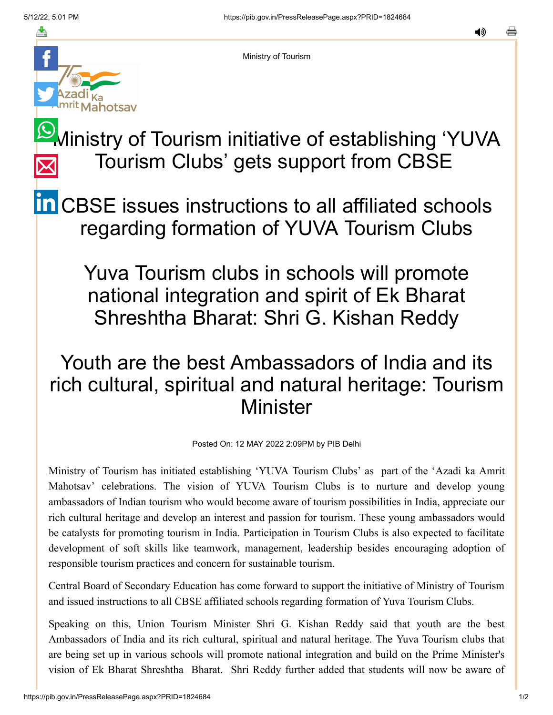⇔



Ministry of Tourism

# [M](https://api.whatsapp.com/send?text=https://pib.gov.in/PressReleasePage.aspx?PRID=1824684)inistry of Tourism initiative of establishing 'YUVA Tourism Clubs' gets support from CBSE

# in [C](https://www.linkedin.com/shareArticle?mini=true&url=https://pib.gov.in/PressReleasePage.aspx?PRID=1824684&title=Ministry%20of%20Tourism%20initiative%20of%20establishing%20%E2%80%98YUVA%20Tourism%20Clubs%E2%80%99%20gets%20support%20from%20CBSE%20&summary=My%20favorite%20developer%20program&source=LinkedIn)BSE issues instructions to all affiliated schools regarding formation of YUVA Tourism Clubs

Yuva Tourism clubs in schools will promote national integration and spirit of Ek Bharat Shreshtha Bharat: Shri G. Kishan Reddy

## Youth are the best Ambassadors of India and its rich cultural, spiritual and natural heritage: Tourism Minister

Posted On: 12 MAY 2022 2:09PM by PIB Delhi

Ministry of Tourism has initiated establishing 'YUVA Tourism Clubs' as part of the 'Azadi ka Amrit Mahotsav' celebrations. The vision of YUVA Tourism Clubs is to nurture and develop young ambassadors of Indian tourism who would become aware of tourism possibilities in India, appreciate our rich cultural heritage and develop an interest and passion for tourism. These young ambassadors would be catalysts for promoting tourism in India. Participation in Tourism Clubs is also expected to facilitate development of soft skills like teamwork, management, leadership besides encouraging adoption of responsible tourism practices and concern for sustainable tourism.

Central Board of Secondary Education has come forward to support the initiative of Ministry of Tourism and issued instructions to all CBSE affiliated schools regarding formation of Yuva Tourism Clubs.

Speaking on this, Union Tourism Minister Shri G. Kishan Reddy said that youth are the best Ambassadors of India and its rich cultural, spiritual and natural heritage. The Yuva Tourism clubs that are being set up in various schools will promote national integration and build on the Prime Minister's vision of Ek Bharat Shreshtha Bharat. Shri Reddy further added that students will now be aware of